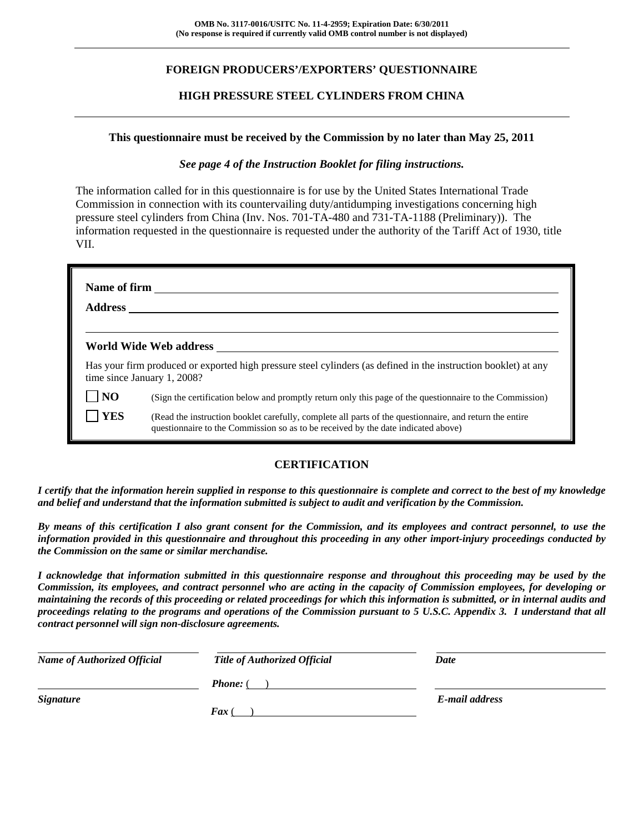# **FOREIGN PRODUCERS'/EXPORTERS' QUESTIONNAIRE**

## **HIGH PRESSURE STEEL CYLINDERS FROM CHINA**

#### **This questionnaire must be received by the Commission by no later than May 25, 2011**

### *See page 4 of the Instruction Booklet for filing instructions.*

The information called for in this questionnaire is for use by the United States International Trade Commission in connection with its countervailing duty/antidumping investigations concerning high pressure steel cylinders from China (Inv. Nos. 701-TA-480 and 731-TA-1188 (Preliminary)). The information requested in the questionnaire is requested under the authority of the Tariff Act of 1930, title VII.

| <b>Address</b> |                                                                                                                                                                                              |
|----------------|----------------------------------------------------------------------------------------------------------------------------------------------------------------------------------------------|
|                | World Wide Web address                                                                                                                                                                       |
|                | Has your firm produced or exported high pressure steel cylinders (as defined in the instruction booklet) at any<br>time since January 1, 2008?                                               |
| $\overline{N}$ | (Sign the certification below and promptly return only this page of the questionnaire to the Commission)                                                                                     |
| <b>YES</b>     | (Read the instruction booklet carefully, complete all parts of the questionnaire, and return the entire<br>questionnaire to the Commission so as to be received by the date indicated above) |

## **CERTIFICATION**

*I certify that the information herein supplied in response to this questionnaire is complete and correct to the best of my knowledge and belief and understand that the information submitted is subject to audit and verification by the Commission.* 

*By means of this certification I also grant consent for the Commission, and its employees and contract personnel, to use the information provided in this questionnaire and throughout this proceeding in any other import-injury proceedings conducted by the Commission on the same or similar merchandise.* 

*I acknowledge that information submitted in this questionnaire response and throughout this proceeding may be used by the Commission, its employees, and contract personnel who are acting in the capacity of Commission employees, for developing or maintaining the records of this proceeding or related proceedings for which this information is submitted, or in internal audits and proceedings relating to the programs and operations of the Commission pursuant to 5 U.S.C. Appendix 3. I understand that all contract personnel will sign non-disclosure agreements.* 

| <b>Name of Authorized Official</b> | <b>Title of Authorized Official</b> | Date           |
|------------------------------------|-------------------------------------|----------------|
|                                    | <b>Phone:</b> (                     |                |
| <b>Signature</b>                   |                                     | E-mail address |
|                                    | $\boldsymbol{F}$ ax (               |                |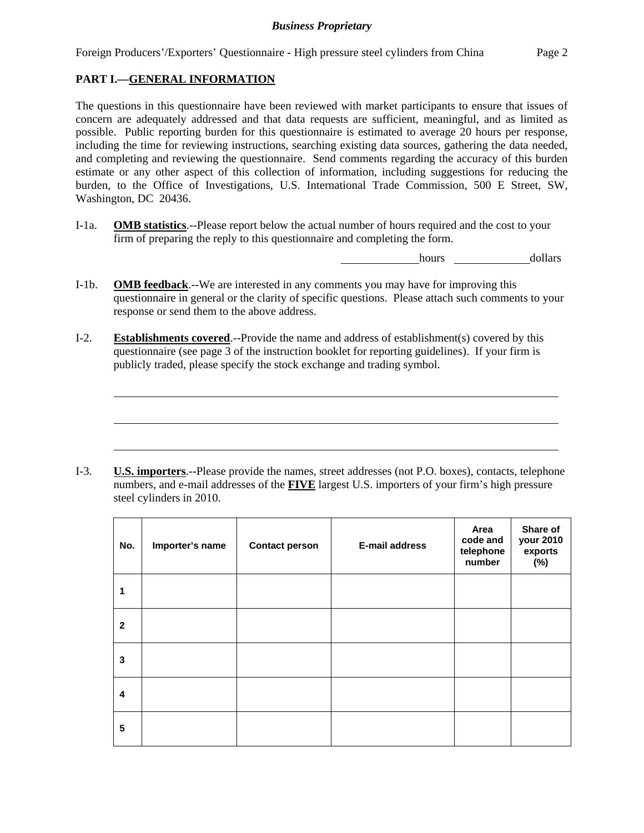Foreign Producers'/Exporters' Questionnaire - High pressure steel cylinders from China Page 2

# **PART I.—GENERAL INFORMATION**

l

l

l

The questions in this questionnaire have been reviewed with market participants to ensure that issues of concern are adequately addressed and that data requests are sufficient, meaningful, and as limited as possible. Public reporting burden for this questionnaire is estimated to average 20 hours per response, including the time for reviewing instructions, searching existing data sources, gathering the data needed, and completing and reviewing the questionnaire. Send comments regarding the accuracy of this burden estimate or any other aspect of this collection of information, including suggestions for reducing the burden, to the Office of Investigations, U.S. International Trade Commission, 500 E Street, SW, Washington, DC 20436.

I-1a. **OMB statistics**.--Please report below the actual number of hours required and the cost to your firm of preparing the reply to this questionnaire and completing the form.

hours dollars

- I-1b. **OMB feedback**.--We are interested in any comments you may have for improving this questionnaire in general or the clarity of specific questions. Please attach such comments to your response or send them to the above address.
- I-2. **Establishments covered**.--Provide the name and address of establishment(s) covered by this questionnaire (see page 3 of the instruction booklet for reporting guidelines). If your firm is publicly traded, please specify the stock exchange and trading symbol.

I-3. **U.S. importers**.--Please provide the names, street addresses (not P.O. boxes), contacts, telephone numbers, and e-mail addresses of the **FIVE** largest U.S. importers of your firm's high pressure steel cylinders in 2010.

| No.                     | Importer's name | <b>Contact person</b> | <b>E-mail address</b> | Area<br>code and<br>telephone<br>number | Share of<br>your 2010<br>exports<br>$(\%)$ |
|-------------------------|-----------------|-----------------------|-----------------------|-----------------------------------------|--------------------------------------------|
| 1                       |                 |                       |                       |                                         |                                            |
| $\mathbf{2}$            |                 |                       |                       |                                         |                                            |
| 3                       |                 |                       |                       |                                         |                                            |
| $\overline{\mathbf{4}}$ |                 |                       |                       |                                         |                                            |
| 5                       |                 |                       |                       |                                         |                                            |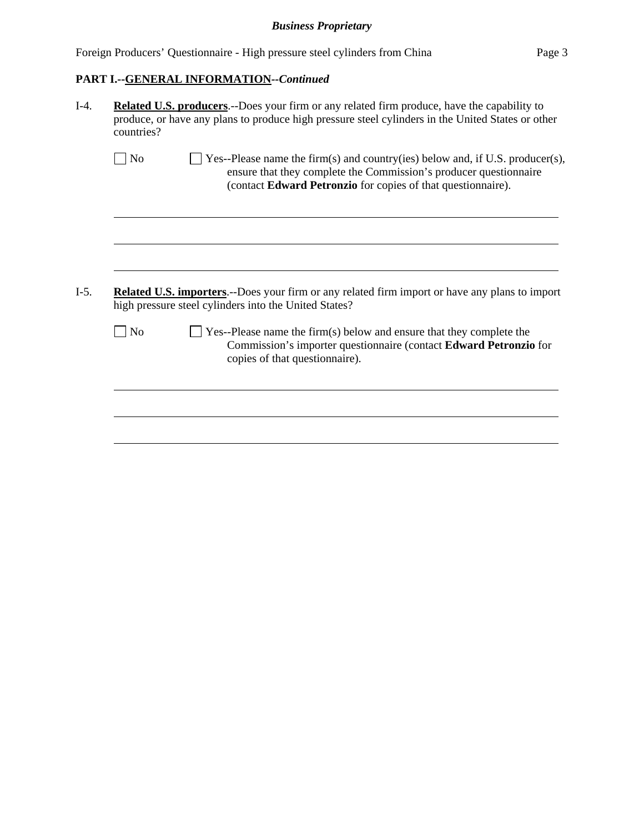| Foreign Producers' Questionnaire - High pressure steel cylinders from China |  |  | Page 3 |
|-----------------------------------------------------------------------------|--|--|--------|
|                                                                             |  |  |        |

# **PART I.--GENERAL INFORMATION***--Continued*

| countries?     |                                                                                                                                                                                                                    |
|----------------|--------------------------------------------------------------------------------------------------------------------------------------------------------------------------------------------------------------------|
| N <sub>0</sub> | Yes--Please name the firm(s) and country(ies) below and, if U.S. producer(s),<br>ensure that they complete the Commission's producer questionnaire<br>(contact Edward Petronzio for copies of that questionnaire). |
|                |                                                                                                                                                                                                                    |
|                |                                                                                                                                                                                                                    |
|                | <b>Related U.S. importers.</b> --Does your firm or any related firm import or have any plans to import<br>high pressure steel cylinders into the United States?                                                    |
| N <sub>o</sub> | $\Box$ Yes--Please name the firm(s) below and ensure that they complete the<br>copies of that questionnaire).                                                                                                      |
|                | Commission's importer questionnaire (contact Edward Petronzio for                                                                                                                                                  |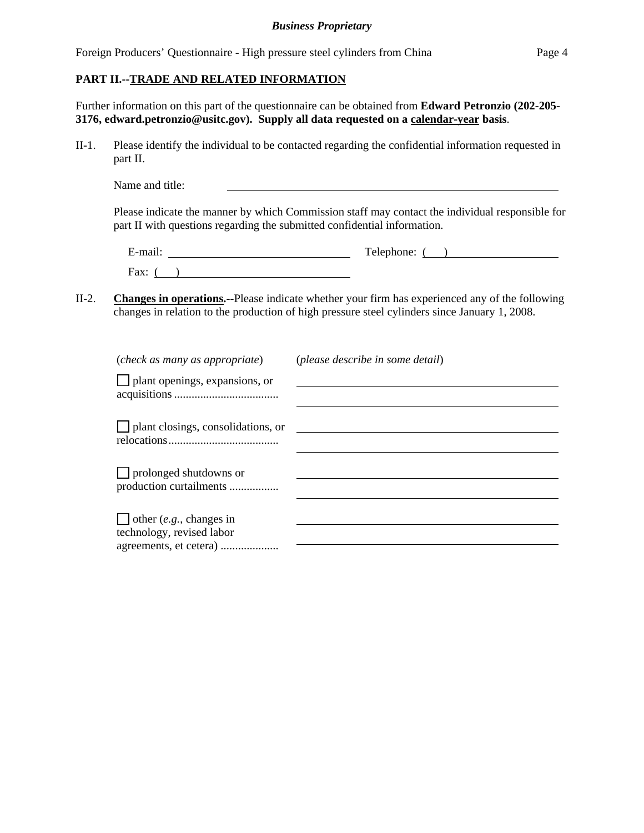Foreign Producers' Questionnaire - High pressure steel cylinders from China Page 4

### **PART II.--TRADE AND RELATED INFORMATION**

Further information on this part of the questionnaire can be obtained from **Edward Petronzio (202-205- 3176, edward.petronzio@usitc.gov). Supply all data requested on a calendar-year basis**.

II-1. Please identify the individual to be contacted regarding the confidential information requested in part II.

| Name and title: |  |  |
|-----------------|--|--|
|                 |  |  |

Please indicate the manner by which Commission staff may contact the individual responsible for part II with questions regarding the submitted confidential information.

| $\cdot$ $\cdot$<br>±-mail: | Telephone: |
|----------------------------|------------|
| $\Gamma$ ax:               |            |

II-2. **Changes in operations.--**Please indicate whether your firm has experienced any of the following changes in relation to the production of high pressure steel cylinders since January 1, 2008.

| (please describe in some detail) |
|----------------------------------|
|                                  |
|                                  |
|                                  |
|                                  |
|                                  |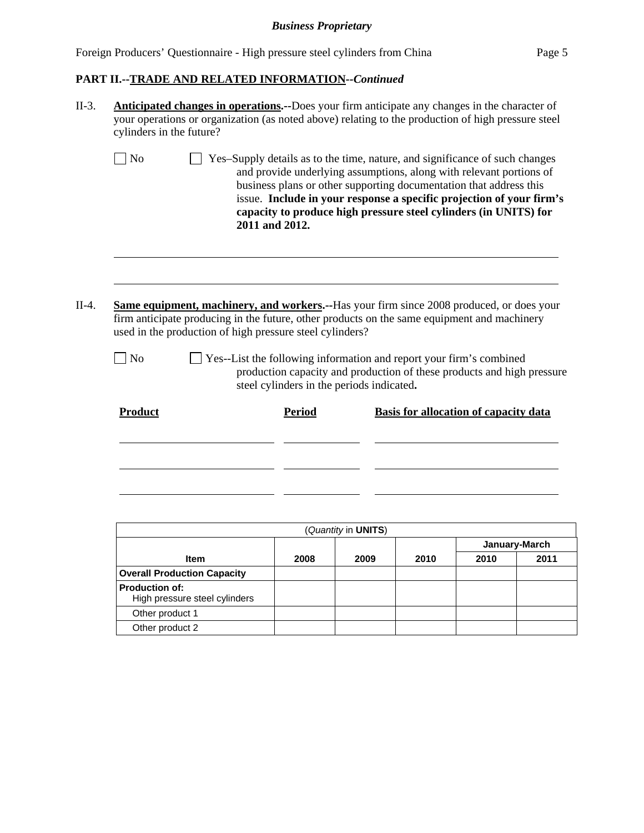# *Business Proprietary*

|  | Foreign Producers' Questionnaire - High pressure steel cylinders from China | Page 5 |
|--|-----------------------------------------------------------------------------|--------|
|  |                                                                             |        |

# **PART II.--TRADE AND RELATED INFORMATION***--Continued*

| II-3.   | cylinders in the future? |                                                          |                                           | <b>Anticipated changes in operations.</b> --Does your firm anticipate any changes in the character of<br>your operations or organization (as noted above) relating to the production of high pressure steel                                                                                                                                                          |
|---------|--------------------------|----------------------------------------------------------|-------------------------------------------|----------------------------------------------------------------------------------------------------------------------------------------------------------------------------------------------------------------------------------------------------------------------------------------------------------------------------------------------------------------------|
|         | N <sub>o</sub>           |                                                          | 2011 and 2012.                            | Yes-Supply details as to the time, nature, and significance of such changes<br>and provide underlying assumptions, along with relevant portions of<br>business plans or other supporting documentation that address this<br>issue. Include in your response a specific projection of your firm's<br>capacity to produce high pressure steel cylinders (in UNITS) for |
| $II-4.$ |                          | used in the production of high pressure steel cylinders? |                                           | Same equipment, machinery, and workers.--Has your firm since 2008 produced, or does your<br>firm anticipate producing in the future, other products on the same equipment and machinery                                                                                                                                                                              |
|         | N <sub>o</sub>           |                                                          | steel cylinders in the periods indicated. | Yes--List the following information and report your firm's combined<br>production capacity and production of these products and high pressure                                                                                                                                                                                                                        |
|         | Product                  |                                                          | <b>Period</b>                             | <b>Basis for allocation of capacity data</b>                                                                                                                                                                                                                                                                                                                         |
|         |                          |                                                          |                                           |                                                                                                                                                                                                                                                                                                                                                                      |
|         |                          |                                                          |                                           |                                                                                                                                                                                                                                                                                                                                                                      |
|         |                          |                                                          |                                           |                                                                                                                                                                                                                                                                                                                                                                      |

|                                                        |      | (Quantity in <b>UNITS</b> ) |      |               |      |
|--------------------------------------------------------|------|-----------------------------|------|---------------|------|
|                                                        |      |                             |      | January-March |      |
| <b>Item</b>                                            | 2008 | 2009                        | 2010 | 2010          | 2011 |
| <b>Overall Production Capacity</b>                     |      |                             |      |               |      |
| <b>Production of:</b><br>High pressure steel cylinders |      |                             |      |               |      |
| Other product 1                                        |      |                             |      |               |      |
| Other product 2                                        |      |                             |      |               |      |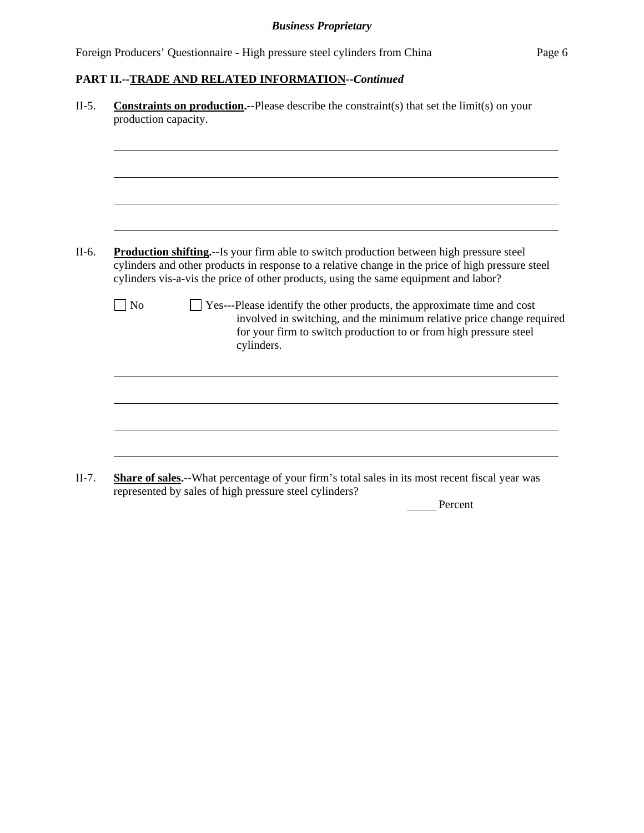# **PART II.--TRADE AND RELATED INFORMATION***--Continued*

|           | <b>Constraints on production.</b> --Please describe the constraint(s) that set the $limit(s)$ on your<br>production capacity.                                                                                                                                                                 |
|-----------|-----------------------------------------------------------------------------------------------------------------------------------------------------------------------------------------------------------------------------------------------------------------------------------------------|
|           |                                                                                                                                                                                                                                                                                               |
|           |                                                                                                                                                                                                                                                                                               |
|           |                                                                                                                                                                                                                                                                                               |
|           | <b>Production shifting.</b> --Is your firm able to switch production between high pressure steel<br>cylinders and other products in response to a relative change in the price of high pressure steel<br>cylinders vis-a-vis the price of other products, using the same equipment and labor? |
| $\neg$ No | Yes---Please identify the other products, the approximate time and cost<br>involved in switching, and the minimum relative price change required<br>for your firm to switch production to or from high pressure steel<br>cylinders.                                                           |
|           |                                                                                                                                                                                                                                                                                               |
|           |                                                                                                                                                                                                                                                                                               |
|           |                                                                                                                                                                                                                                                                                               |

represented by sales of high pressure steel cylinders?

Percent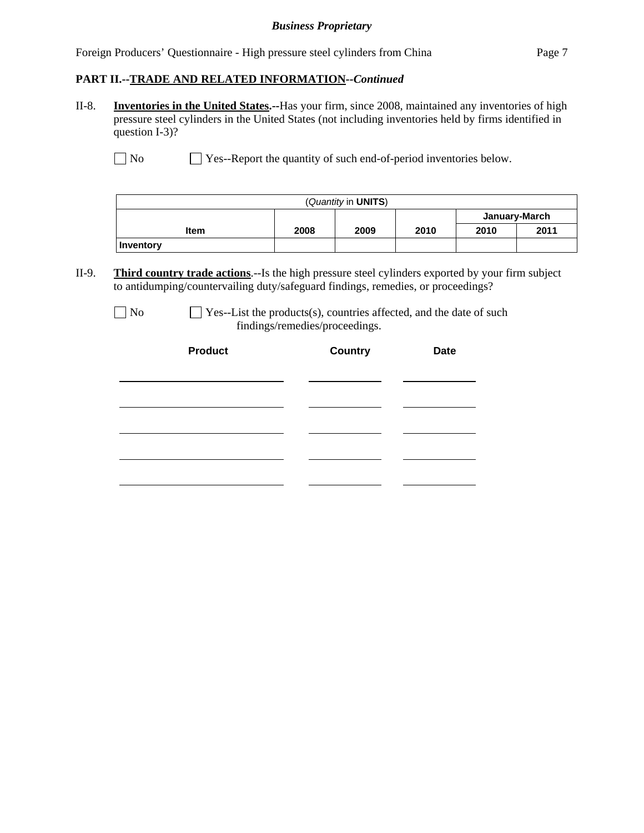### *Business Proprietary*

Foreign Producers' Questionnaire - High pressure steel cylinders from China Page 7

### **PART II.--TRADE AND RELATED INFORMATION***--Continued*

II-8. **Inventories in the United States.--**Has your firm, since 2008, maintained any inventories of high pressure steel cylinders in the United States (not including inventories held by firms identified in question I-3)?

No Ses--Report the quantity of such end-of-period inventories below.

| (Quantity in <b>UNITS</b> ) |      |      |      |               |      |
|-----------------------------|------|------|------|---------------|------|
|                             |      |      |      | January-March |      |
| <b>Item</b>                 | 2008 | 2009 | 2010 | 2010          | 2011 |
| Inventory                   |      |      |      |               |      |

II-9. **Third country trade actions**.--Is the high pressure steel cylinders exported by your firm subject to antidumping/countervailing duty/safeguard findings, remedies, or proceedings?

| No. |  |
|-----|--|
|-----|--|

 $\Box$  Yes--List the products(s), countries affected, and the date of such findings/remedies/proceedings.

| <b>Product</b> | <b>Country</b> | <b>Date</b> |  |
|----------------|----------------|-------------|--|
|                |                |             |  |
|                |                |             |  |
|                |                |             |  |
|                |                |             |  |
|                |                |             |  |
|                |                |             |  |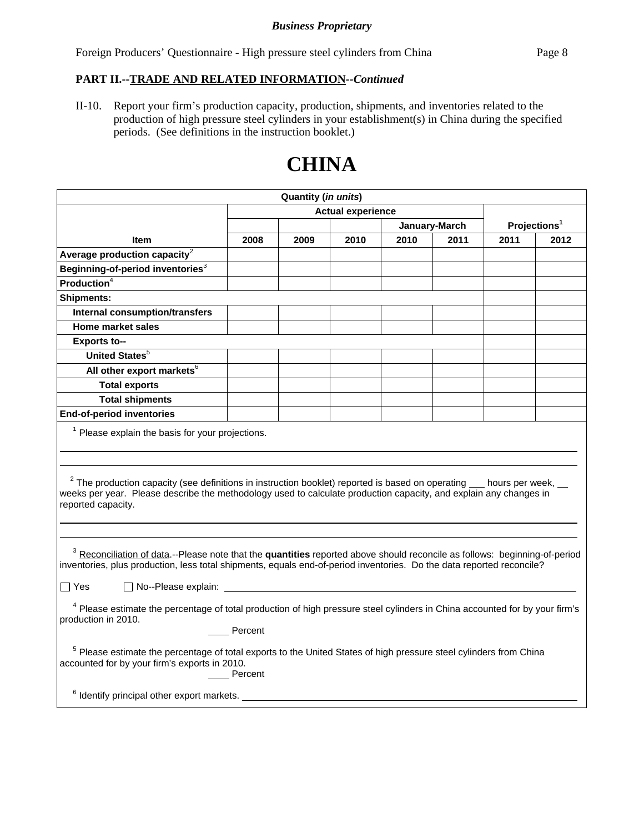Foreign Producers' Questionnaire - High pressure steel cylinders from China Page 8

### **PART II.--TRADE AND RELATED INFORMATION***--Continued*

II-10. Report your firm's production capacity, production, shipments, and inventories related to the production of high pressure steel cylinders in your establishment(s) in China during the specified periods. (See definitions in the instruction booklet.)

# **CHINA**

| <b>Quantity (in units)</b>                                                                                                                                                                                                                                                   |                          |      |      |               |      |                          |      |
|------------------------------------------------------------------------------------------------------------------------------------------------------------------------------------------------------------------------------------------------------------------------------|--------------------------|------|------|---------------|------|--------------------------|------|
|                                                                                                                                                                                                                                                                              | <b>Actual experience</b> |      |      |               |      |                          |      |
|                                                                                                                                                                                                                                                                              |                          |      |      | January-March |      | Projections <sup>1</sup> |      |
| <b>Item</b>                                                                                                                                                                                                                                                                  | 2008                     | 2009 | 2010 | 2010          | 2011 | 2011                     | 2012 |
| Average production capacity $2$                                                                                                                                                                                                                                              |                          |      |      |               |      |                          |      |
| Beginning-of-period inventories <sup>3</sup>                                                                                                                                                                                                                                 |                          |      |      |               |      |                          |      |
| <b>Production</b> $4$                                                                                                                                                                                                                                                        |                          |      |      |               |      |                          |      |
| <b>Shipments:</b>                                                                                                                                                                                                                                                            |                          |      |      |               |      |                          |      |
| Internal consumption/transfers                                                                                                                                                                                                                                               |                          |      |      |               |      |                          |      |
| Home market sales                                                                                                                                                                                                                                                            |                          |      |      |               |      |                          |      |
| <b>Exports to--</b>                                                                                                                                                                                                                                                          |                          |      |      |               |      |                          |      |
| <b>United States</b> <sup>5</sup>                                                                                                                                                                                                                                            |                          |      |      |               |      |                          |      |
| All other export markets <sup>6</sup>                                                                                                                                                                                                                                        |                          |      |      |               |      |                          |      |
| <b>Total exports</b>                                                                                                                                                                                                                                                         |                          |      |      |               |      |                          |      |
| <b>Total shipments</b>                                                                                                                                                                                                                                                       |                          |      |      |               |      |                          |      |
| <b>End-of-period inventories</b>                                                                                                                                                                                                                                             |                          |      |      |               |      |                          |      |
| $1$ Please explain the basis for your projections.                                                                                                                                                                                                                           |                          |      |      |               |      |                          |      |
| $2$ The production capacity (see definitions in instruction booklet) reported is based on operating $\_\_$ hours per week,<br>weeks per year. Please describe the methodology used to calculate production capacity, and explain any changes in<br>reported capacity.        |                          |      |      |               |      |                          |      |
| <sup>3</sup> Reconciliation of data.--Please note that the quantities reported above should reconcile as follows: beginning-of-period<br>inventories, plus production, less total shipments, equals end-of-period inventories. Do the data reported reconcile?<br>$\Box$ Yes |                          |      |      |               |      |                          |      |
| <sup>4</sup> Please estimate the percentage of total production of high pressure steel cylinders in China accounted for by your firm's<br>production in 2010.<br>Percent                                                                                                     |                          |      |      |               |      |                          |      |
| <sup>5</sup> Please estimate the percentage of total exports to the United States of high pressure steel cylinders from China<br>accounted for by your firm's exports in 2010.<br>Percent                                                                                    |                          |      |      |               |      |                          |      |
| $6$ Identify principal other export markets. $\_$                                                                                                                                                                                                                            |                          |      |      |               |      |                          |      |